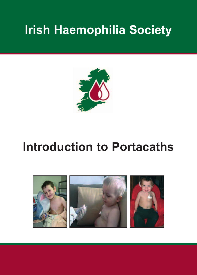# **Irish Haemophilia Society**



# **Introduction to Portacaths**

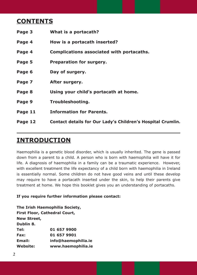# **contEntS**

| Page 3  | What is a portacath?                                        |
|---------|-------------------------------------------------------------|
| Page 4  | How is a portacath inserted?                                |
| Page 4  | Complications associated with portacaths.                   |
| Page 5  | Preparation for surgery.                                    |
| Page 6  | Day of surgery.                                             |
| Page 7  | After surgery.                                              |
| Page 8  | Using your child's portacath at home.                       |
| Page 9  | Troubleshooting.                                            |
| Page 11 | <b>Information for Parents.</b>                             |
| Page 12 | Contact details for Our Lady's Children's Hospital Crumlin. |

# **IntroductIon**

Haemophilia is a genetic blood disorder, which is usually inherited. The gene is passed down from a parent to a child. A person who is born with haemophilia will have it for life. A diagnosis of haemophilia in a family can be a traumatic experience. However, with excellent treatment the life expectancy of a child born with haemophilia in Ireland is essentially normal. Some children do not have good veins and until these develop may require to have a portacath inserted under the skin, to help their parents give treatment at home. We hope this booklet gives you an understanding of portacaths.

# **If you require further information please contact:**

**the Irish Haemophilia Society, First Floor, cathedral court, new Street, dublin 8. tel: 01 657 9900 Fax: 01 657 9901 Email: info@haemophilia.ie Website: www.haemophilia.ie**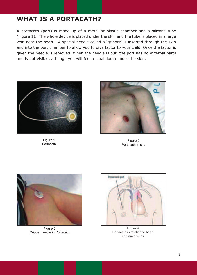# **WHAt IS A PortAcAtH?**

A portacath (port) is made up of a metal or plastic chamber and a silicone tube (Figure 1). The whole device is placed under the skin and the tube is placed in a large vein near the heart. A special needle called a 'gripper' is inserted through the skin and into the port chamber to allow you to give factor to your child. Once the factor is given the needle is removed. When the needle is out, the port has no external parts and is not visible, athough you will feel a small lump under the skin.



Figure 1 Portacath



Figure 2 Portacath in situ



Figure 3 Gripper needle in Portacath



Figure 4 Portacath in relation to heart and main veins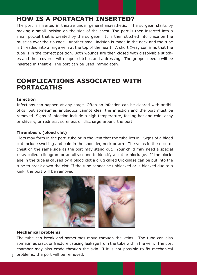# **HoW IS A PortAcAtH InSErtEd?**

The port is inserted in theatre under general anaesthetic. The surgeon starts by making a small incision on the side of the chest. The port is then inserted into a small pocket that is created by the surgeon. It is then stitched into place on the muscles over the rib cage. Another small incision is made in the neck and the tube is threaded into a large vein at the top of the heart. A short X-ray confirms that the tube is in the correct position. Both wounds are then closed with dissolvable stitches and then covered with paper stitches and a dressing. The gripper needle will be inserted in theatre. The port can be used immediately.

# **comPLIcAtIonS ASSocIAtEd WItH PortAcAtHS**

# **Infection**

Infections can happen at any stage. Often an infection can be cleared with antibiotics, but sometimes antibiotics cannot clear the infection and the port must be removed. Signs of infection include a high temperature, feeling hot and cold, achy or shivery, or redness, soreness or discharge around the port.

# **thrombosis (blood clot)**

Clots may form in the port, tube or in the vein that the tube lies in. Signs of a blood clot include swelling and pain in the shoulder, neck or arm. The veins in the neck or chest on the same side as the port may stand out. Your child may need a special x-ray called a linogram or an ultrasound to identify a clot or blockage. If the blockage in the tube is caused by a blood clot a drug called Urokinase can be put into the tube to break down the clot. If the tube cannot be unblocked or is blocked due to a kink, the port will be removed.



# **mechanical problems**

The tube can break and sometimes move through the veins. The tube can also sometimes crack or fracture causing leakage from the tube within the vein. The port chamber may also erode through the skin. If it is not possible to fix mechanical

problems, the port will be removed. *4*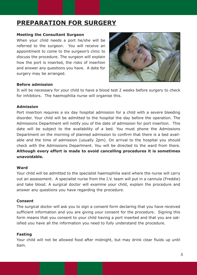# **PrEPArAtIon For SurgEry**

#### **meeting the consultant Surgeon**

When your child needs a port he/she will be referred to the surgeon. You will receive an appointment to come to the surgeon's clinic to discuss the procedure. The surgeon will explain how the port is inserted, the risks of insertion and answer any questions you have. A date for surgery may be arranged.



# **Before admission**

It will be necessary for your child to have a blood test 2 weeks before surgery to check for inhibitors. The haemophilia nurse will organise this.

#### **Admission**

Port insertion requires a six day hospital admission for a child with a severe bleeding disorder. Your child will be admitted to the hospital the day before the operation. The Admissions Department will notify you of the date of admission for port insertion. This date will be subject to the availability of a bed. You must phone the Admissions Department on the morning of planned admission to confirm that there is a bed available and the time of admission (usually 2pm). On arrival to the hospital you should check with the Admissions Department. You will be directed to the ward from there. **Although every effort is made to avoid cancelling procedures it is sometimes unavoidable.**

#### **Ward**

Your child will be admitted to the specialist haemophilia ward where the nurse will carry out an assessment. A specialist nurse from the I.V. team will put in a cannula (Freddie) and take blood. A surgical doctor will examine your child, explain the procedure and answer any questions you have regarding the procedure.

## **consent**

The surgical doctor will ask you to sign a consent form declaring that you have received sufficient information and you are giving your consent for the procedure. Signing this form means that you consent to your child having a port inserted and that you are satisfied you have all the information you need to fully understand the procedure.

## **Fasting**

Your child will not be allowed food after midnight, but may drink clear fluids up until 6am.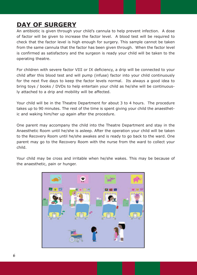# **dAy oF SurgEry**

An antibiotic is given through your child's cannula to help prevent infection. A dose of factor will be given to increase the factor level. A blood test will be required to check that the factor level is high enough for surgery. This sample cannot be taken from the same cannula that the factor has been given through. When the factor level is confirmed as satisfactory and the surgeon is ready your child will be taken to the operating theatre.

For children with severe factor VIII or IX deficiency, a drip will be connected to your child after this blood test and will pump (infuse) factor into your child continuously for the next five days to keep the factor levels normal. Its always a good idea to bring toys / books / DVDs to help entertain your child as he/she will be continuously attached to a drip and mobility will be affected.

Your child will be in the Theatre Department for about 3 to 4 hours. The procedure takes up to 90 minutes. The rest of the time is spent giving your child the anaesthetic and waking him/her up again after the procedure.

One parent may accompany the child into the Theatre Department and stay in the Anaesthetic Room until he/she is asleep. After the operation your child will be taken to the Recovery Room until he/she awakes and is ready to go back to the ward. One parent may go to the Recovery Room with the nurse from the ward to collect your child.

Your child may be cross and irritable when he/she wakes. This may be because of the anaesthetic, pain or hunger.

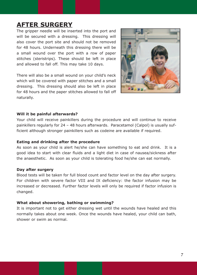# **AFtEr SurgEry**

The gripper needle will be inserted into the port and will be secured with a dressing. This dressing will also cover the port site and should not be removed for 48 hours. Underneath this dressing there will be a small wound over the port with a row of paper stitches (steristrips). These should be left in place and allowed to fall off. This may take 10 days.

There will also be a small wound on your child's neck which will be covered with paper stitches and a small dressing. This dressing should also be left in place for 48 hours and the paper stitches allowed to fall off naturally.



#### **Will it be painful afterwards?**

Your child will receive painkillers during the procedure and will continue to receive painkillers regularly for 24 – 48 hours afterwards. Paracetamol (Calpol) is usually sufficient although stronger painkillers such as codeine are available if required.

#### **Eating and drinking after the procedure**

As soon as your child is alert he/she can have something to eat and drink. It is a good idea to start with clear fluids and a light diet in case of nausea/sickness after the anaesthetic. As soon as your child is tolerating food he/she can eat normally.

#### **day after surgery**

Blood tests will be taken for full blood count and factor level on the day after surgery. For children with severe factor VIII and IX deficiency: the factor infusion may be increased or decreased. Further factor levels will only be required if factor infusion is changed.

#### **What about showering, bathing or swimming?**

It is important not to get either dressing wet until the wounds have healed and this normally takes about one week. Once the wounds have healed, your child can bath, shower or swim as normal.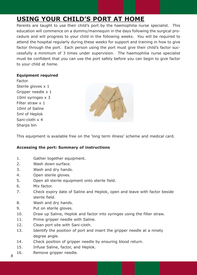# **uSIng your cHILd'S Port At HomE**

Parents are taught to use their child's port by the haemophilia nurse specialist. This education will commence on a dummy/mannequin in the days following the surgical procedure and will progress to your child in the following weeks. You will be required to attend the hospital regularly during these weeks for support and training in how to give factor through the port. Each person using the port must give their child's factor successfully a minimum of 3 times under supervision. The haemophilia nurse specialist must be confident that you can use the port safely before you can begin to give factor to your child at home.

# **Equipment required**

Factor Sterile gloves x 1 Gripper needle x 1 10ml syringes x 3 Filter straw x 1 10ml of Saline 5ml of Heplok Sani-cloth x 4 Sharps bin



This equipment is available free on the 'long term illness' scheme and medical card.

# **Accessing the port: Summary of instructions**

- 1. Gather together equipment.
- 2. Wash down surface.
- 3. Wash and dry hands.
- 4. Open sterile gloves.
- 5. Open all sterile equipment onto sterile field.
- 6. Mix factor.
- 7. Check expiry date of Saline and Heplok, open and leave with factor beside sterile field.
- 8. Wash and dry hands.
- 9. Put on sterile gloves.
- 10. Draw up Saline, Heplok and factor into syringes using the filter straw.
- 11. Prime gripper needle with Saline.
- 12. Clean port site with Sani-cloth.
- 13. Identify the position of port and insert the gripper needle at a ninety degree angle.
- 14. Check position of gripper needle by ensuring blood return.
- 15. Infuse Saline, factor, and Heplok.
- 16. Remove gripper needle. *<sup>8</sup>*
-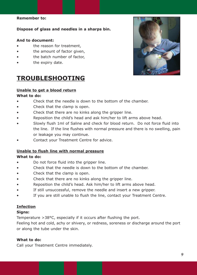## **remember to:**

**dispose of glass and needles in a sharps bin.**

#### **And to document:**

- the reason for treatment.
- the amount of factor given.
- the batch number of factor.
- the expiry date.

# **trouBLESHootIng**

## **unable to get a blood return**

#### **What to do:**

- Check that the needle is down to the bottom of the chamber.
- Check that the clamp is open.
- Check that there are no kinks along the gripper line.
- Reposition the child's head and ask him/her to lift arms above head.
- Slowly flush 1ml of Saline and check for blood return. Do not force fluid into the line. If the line flushes with normal pressure and there is no swelling, pain or leakage you may continue.
- Contact your Treatment Centre for advice.

## **unable to flush line with normal pressure**

# **What to do:**

- Do not force fluid into the gripper line.
- Check that the needle is down to the bottom of the chamber.
- Check that the clamp is open.
- Check that there are no kinks along the gripper line.
- Reposition the child's head. Ask him/her to lift arms above head.
- If still unsuccessful, remove the needle and insert a new gripper.
- If you are still unable to flush the line, contact your Treatment Centre.

## **Infection**

## **Signs:**

Temperature >38°C, especially if it occurs after flushing the port.

Feeling hot and cold, achy or shivery, or redness, soreness or discharge around the port or along the tube under the skin.

## **What to do:**

Call your Treatment Centre immediately.

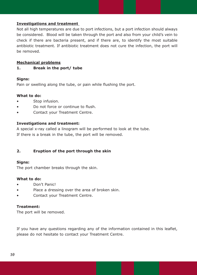## **Investigations and treatment**

Not all high temperatures are due to port infections, but a port infection should always be considered. Blood will be taken through the port and also from your child's vein to check if there are bacteria present, and if there are, to identify the most suitable antibiotic treatment. If antibiotic treatment does not cure the infection, the port will be removed.

## **mechanical problems**

**1. Break in the port/ tube**

## **Signs:**

Pain or swelling along the tube, or pain while flushing the port.

## **What to do:**

- Stop infusion.
- Do not force or continue to flush.
- Contact your Treatment Centre.

## **Investigations and treatment:**

A special x-ray called a linogram will be performed to look at the tube. If there is a break in the tube, the port will be removed.

# **2. Eruption of the port through the skin**

## **Signs:**

The port chamber breaks through the skin.

## **What to do:**

- Don't Panic!
- Place a dressing over the area of broken skin.
- Contact your Treatment Centre.

## **treatment:**

The port will be removed.

If you have any questions regarding any of the information contained in this leaflet, please do not hesitate to contact your Treatment Centre.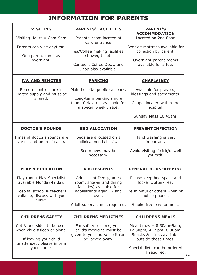# **InFormAtIon For PArEntS**

| <b>VISITING</b><br>Visiting Hours $=$ 8am-9pm<br>Parents can visit anytime.<br>One parent can stay<br>overnight.                                              | <b>PARENTS' FACILITIES</b><br>Parents' room located at<br>ward entrance.<br>Tea/Coffee making facilities,<br>shower, toilet.<br>Canteen, Coffee Dock, and<br>Shop also available. | <b>PARENT'S</b><br><b>ACCOMMODATION</b><br>Located on 2nd floor.<br>Bedside mattress available for<br>collection by parent.<br>Overnight parent rooms<br>available for a fee.          |
|---------------------------------------------------------------------------------------------------------------------------------------------------------------|-----------------------------------------------------------------------------------------------------------------------------------------------------------------------------------|----------------------------------------------------------------------------------------------------------------------------------------------------------------------------------------|
| <b>T.V. AND REMOTES</b><br>Remote controls are in<br>limited supply and must be<br>shared.                                                                    | <b>PARKING</b><br>Main hospital public car park.<br>Long-term parking (more<br>than 10 days) is available for<br>a special weekly rate.                                           | <b>CHAPLAINCY</b><br>Available for prayers,<br>blessings and sacraments.<br>Chapel located within the<br>hospital.<br>Sunday Mass 10.45am.                                             |
| <b>DOCTOR'S ROUNDS</b><br>Times of doctor's rounds are<br>varied and unpredictable.                                                                           | <b>BED ALLOCATION</b><br>Beds are allocated on a<br>clinical needs basis.<br>Bed moves may be<br>necessary.                                                                       | <b>PREVENT INFECTION</b><br>Hand washing is very<br>important.<br>Avoid visiting if sick/unwell<br>yourself.                                                                           |
| <b>PLAY &amp; EDUCATION</b><br>Play room/ Play Specialist<br>available Monday-Friday.<br>Hospital school & teachers<br>available, discuss with your<br>nurse. | <b>ADOLESCENTS</b><br>Adolescent Den (games<br>room, shower and dining<br>facilities) available for<br>adolescents aged 12 and<br>over.<br>Adult supervision is required.         | <b>GENERAL HOUSEKEEPING</b><br>Please keep bed space and<br>locker clutter-free.<br>Be mindful of others when on<br>mobile phones.<br>Smoke free environment.                          |
| <b>CHILDRENS SAFETY</b><br>Cot & bed sides to be used<br>when child asleep or alone.<br>If leaving your child<br>unattended, please inform<br>your nurse.     | <b>CHILDRENS MEDICINES</b><br>For safety reasons, your<br>child's medicine must be<br>given to your nurse so it can<br>be locked away.                                            | <b>CHILDRENS MEALS</b><br>Meal times $= 8.30$ am-9am,<br>12.30pm, 4.15pm, 6.30pm.<br>Snacks & drinks available<br>outside these times.<br>Special diets can be ordered<br>if required. |